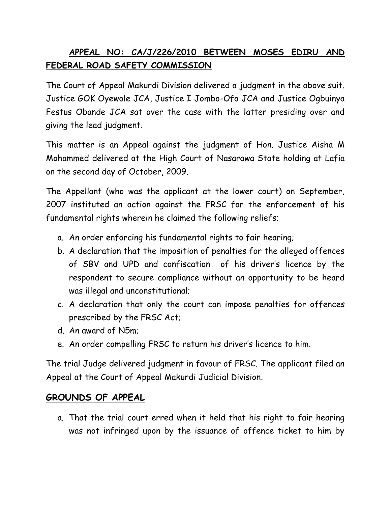## **APPEAL NO: CA/J/226/2010 BETWEEN MOSES EDIRU AND FEDERAL ROAD SAFETY COMMISSION**

The Court of Appeal Makurdi Division delivered a judgment in the above suit. Justice GOK Oyewole JCA, Justice I Jombo-Ofo JCA and Justice Ogbuinya Festus Obande JCA sat over the case with the latter presiding over and giving the lead judgment.

This matter is an Appeal against the judgment of Hon. Justice Aisha M Mohammed delivered at the High Court of Nasarawa State holding at Lafia on the second day of October, 2009.

The Appellant (who was the applicant at the lower court) on September, 2007 instituted an action against the FRSC for the enforcement of his fundamental rights wherein he claimed the following reliefs;

- a. An order enforcing his fundamental rights to fair hearing;
- b. A declaration that the imposition of penalties for the alleged offences of SBV and UPD and confiscation of his driver's licence by the respondent to secure compliance without an opportunity to be heard was illegal and unconstitutional;
- c. A declaration that only the court can impose penalties for offences prescribed by the FRSC Act;
- d. An award of N5m;
- e. An order compelling FRSC to return his driver's licence to him.

The trial Judge delivered judgment in favour of FRSC. The applicant filed an Appeal at the Court of Appeal Makurdi Judicial Division.

## **GROUNDS OF APPEAL**

a. That the trial court erred when it held that his right to fair hearing was not infringed upon by the issuance of offence ticket to him by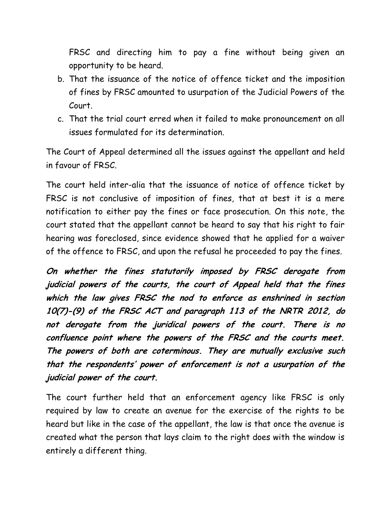FRSC and directing him to pay a fine without being given an opportunity to be heard.

- b. That the issuance of the notice of offence ticket and the imposition of fines by FRSC amounted to usurpation of the Judicial Powers of the Court.
- c. That the trial court erred when it failed to make pronouncement on all issues formulated for its determination.

The Court of Appeal determined all the issues against the appellant and held in favour of FRSC.

The court held inter-alia that the issuance of notice of offence ticket by FRSC is not conclusive of imposition of fines, that at best it is a mere notification to either pay the fines or face prosecution. On this note, the court stated that the appellant cannot be heard to say that his right to fair hearing was foreclosed, since evidence showed that he applied for a waiver of the offence to FRSC, and upon the refusal he proceeded to pay the fines.

**On whether the fines statutorily imposed by FRSC derogate from judicial powers of the courts, the court of Appeal held that the fines which the law gives FRSC the nod to enforce as enshrined in section 10(7)-(9) of the FRSC ACT and paragraph 113 of the NRTR 2012, do not derogate from the juridical powers of the court. There is no confluence point where the powers of the FRSC and the courts meet. The powers of both are coterminous. They are mutually exclusive such that the respondents' power of enforcement is not a usurpation of the judicial power of the court.** 

The court further held that an enforcement agency like FRSC is only required by law to create an avenue for the exercise of the rights to be heard but like in the case of the appellant, the law is that once the avenue is created what the person that lays claim to the right does with the window is entirely a different thing.